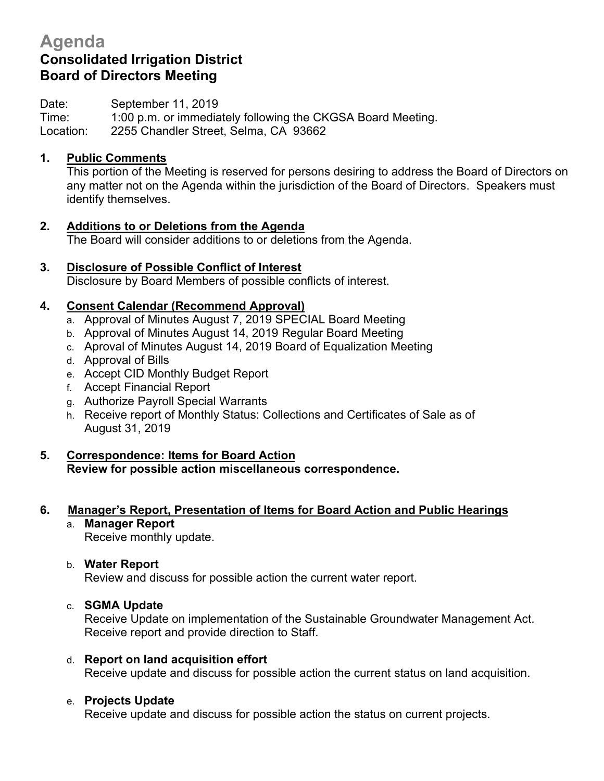# **Agenda Consolidated Irrigation District Board of Directors Meeting**

Date: September 11, 2019

Time: 1:00 p.m. or immediately following the CKGSA Board Meeting. Location: 2255 Chandler Street, Selma, CA 93662

## **1. Public Comments**

This portion of the Meeting is reserved for persons desiring to address the Board of Directors on any matter not on the Agenda within the jurisdiction of the Board of Directors. Speakers must identify themselves.

- **2. Additions to or Deletions from the Agenda** The Board will consider additions to or deletions from the Agenda.
- **3. Disclosure of Possible Conflict of Interest** Disclosure by Board Members of possible conflicts of interest.

## **4. Consent Calendar (Recommend Approval)**

- a. Approval of Minutes August 7, 2019 SPECIAL Board Meeting
- b. Approval of Minutes August 14, 2019 Regular Board Meeting
- c. Aproval of Minutes August 14, 2019 Board of Equalization Meeting
- d. Approval of Bills
- e. Accept CID Monthly Budget Report
- f. Accept Financial Report
- g. Authorize Payroll Special Warrants
- h. Receive report of Monthly Status: Collections and Certificates of Sale as of August 31, 2019

# **5. Correspondence: Items for Board Action**

**Review for possible action miscellaneous correspondence.**

## **6. Manager's Report, Presentation of Items for Board Action and Public Hearings**

a. **Manager Report** Receive monthly update.

## b. **Water Report**

Review and discuss for possible action the current water report.

## c. **SGMA Update**

Receive Update on implementation of the Sustainable Groundwater Management Act. Receive report and provide direction to Staff.

## d. **Report on land acquisition effort**

Receive update and discuss for possible action the current status on land acquisition.

#### e. **Projects Update**

Receive update and discuss for possible action the status on current projects.